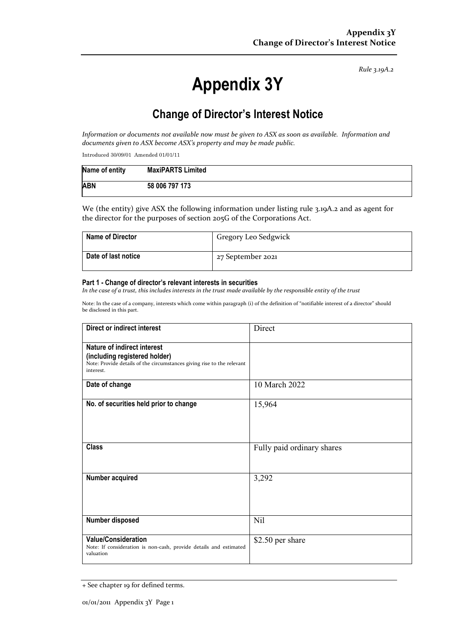*Rule 3.19A.2*

# **Appendix 3Y**

# **Change of Director's Interest Notice**

*Information or documents not available now must be given to ASX as soon as available. Information and documents given to ASX become ASX's property and may be made public.*

Introduced 30/09/01 Amended 01/01/11

| Name of entity | <b>MaxiPARTS Limited</b> |
|----------------|--------------------------|
| <b>ABN</b>     | 58 006 797 173           |

We (the entity) give ASX the following information under listing rule 3.19A.2 and as agent for the director for the purposes of section 205G of the Corporations Act.

| <b>Name of Director</b> | Gregory Leo Sedgwick |
|-------------------------|----------------------|
| Date of last notice     | 27 September 2021    |

#### **Part 1 - Change of director's relevant interests in securities**

*In the case of a trust, this includes interests in the trust made available by the responsible entity of the trust*

Note: In the case of a company, interests which come within paragraph (i) of the definition of "notifiable interest of a director" should be disclosed in this part.

| <b>Direct or indirect interest</b>                                                                                                                  | Direct                     |  |
|-----------------------------------------------------------------------------------------------------------------------------------------------------|----------------------------|--|
| Nature of indirect interest<br>(including registered holder)<br>Note: Provide details of the circumstances giving rise to the relevant<br>interest. |                            |  |
| Date of change                                                                                                                                      | 10 March 2022              |  |
| No. of securities held prior to change                                                                                                              | 15,964                     |  |
| <b>Class</b>                                                                                                                                        | Fully paid ordinary shares |  |
| Number acquired                                                                                                                                     | 3,292                      |  |
| Number disposed                                                                                                                                     | Nil                        |  |
| <b>Value/Consideration</b><br>Note: If consideration is non-cash, provide details and estimated<br>valuation                                        | \$2.50 per share           |  |

<sup>+</sup> See chapter 19 for defined terms.